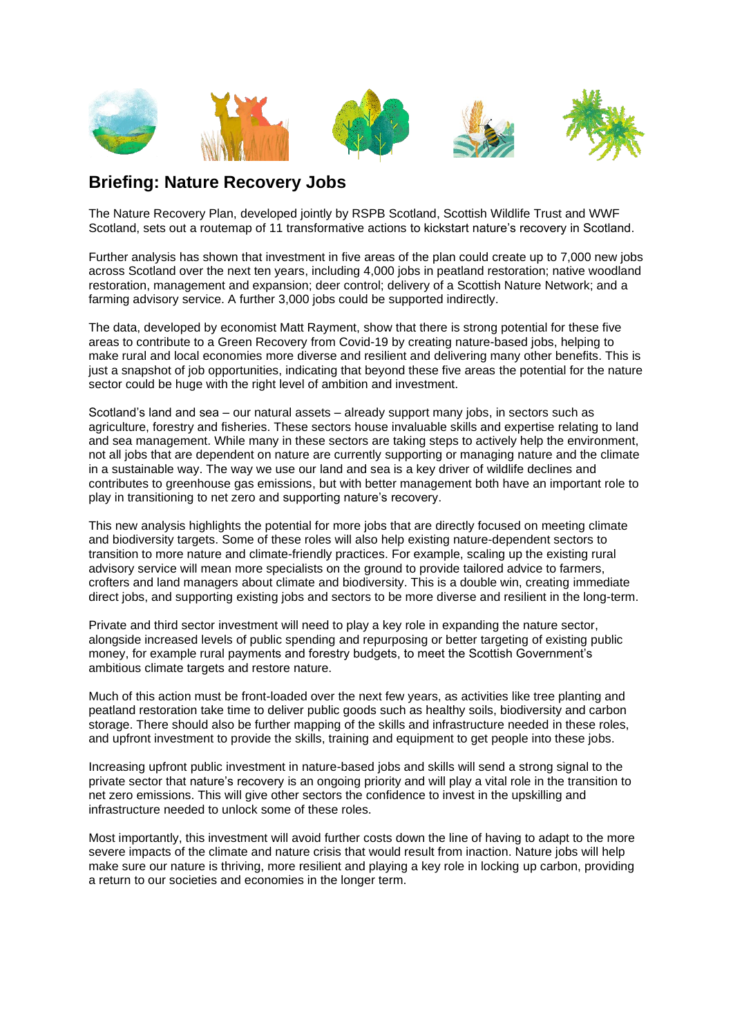

### **Briefing: Nature Recovery Jobs**

The Nature Recovery Plan, developed jointly by RSPB Scotland, Scottish Wildlife Trust and WWF Scotland, sets out a routemap of 11 transformative actions to kickstart nature's recovery in Scotland.

Further analysis has shown that investment in five areas of the plan could create up to 7,000 new jobs across Scotland over the next ten years, including 4,000 jobs in peatland restoration; native woodland restoration, management and expansion; deer control; delivery of a Scottish Nature Network; and a farming advisory service. A further 3,000 jobs could be supported indirectly.

The data, developed by economist Matt Rayment, show that there is strong potential for these five areas to contribute to a Green Recovery from Covid-19 by creating nature-based jobs, helping to make rural and local economies more diverse and resilient and delivering many other benefits. This is just a snapshot of job opportunities, indicating that beyond these five areas the potential for the nature sector could be huge with the right level of ambition and investment.

Scotland's land and sea – our natural assets – already support many jobs, in sectors such as agriculture, forestry and fisheries. These sectors house invaluable skills and expertise relating to land and sea management. While many in these sectors are taking steps to actively help the environment, not all jobs that are dependent on nature are currently supporting or managing nature and the climate in a sustainable way. The way we use our land and sea is a key driver of wildlife declines and contributes to greenhouse gas emissions, but with better management both have an important role to play in transitioning to net zero and supporting nature's recovery.

This new analysis highlights the potential for more jobs that are directly focused on meeting climate and biodiversity targets. Some of these roles will also help existing nature-dependent sectors to transition to more nature and climate-friendly practices. For example, scaling up the existing rural advisory service will mean more specialists on the ground to provide tailored advice to farmers, crofters and land managers about climate and biodiversity. This is a double win, creating immediate direct jobs, and supporting existing jobs and sectors to be more diverse and resilient in the long-term.

Private and third sector investment will need to play a key role in expanding the nature sector, alongside increased levels of public spending and repurposing or better targeting of existing public money, for example rural payments and forestry budgets, to meet the Scottish Government's ambitious climate targets and restore nature.

Much of this action must be front-loaded over the next few years, as activities like tree planting and peatland restoration take time to deliver public goods such as healthy soils, biodiversity and carbon storage. There should also be further mapping of the skills and infrastructure needed in these roles, and upfront investment to provide the skills, training and equipment to get people into these jobs.

Increasing upfront public investment in nature-based jobs and skills will send a strong signal to the private sector that nature's recovery is an ongoing priority and will play a vital role in the transition to net zero emissions. This will give other sectors the confidence to invest in the upskilling and infrastructure needed to unlock some of these roles.

Most importantly, this investment will avoid further costs down the line of having to adapt to the more severe impacts of the climate and nature crisis that would result from inaction. Nature jobs will help make sure our nature is thriving, more resilient and playing a key role in locking up carbon, providing a return to our societies and economies in the longer term.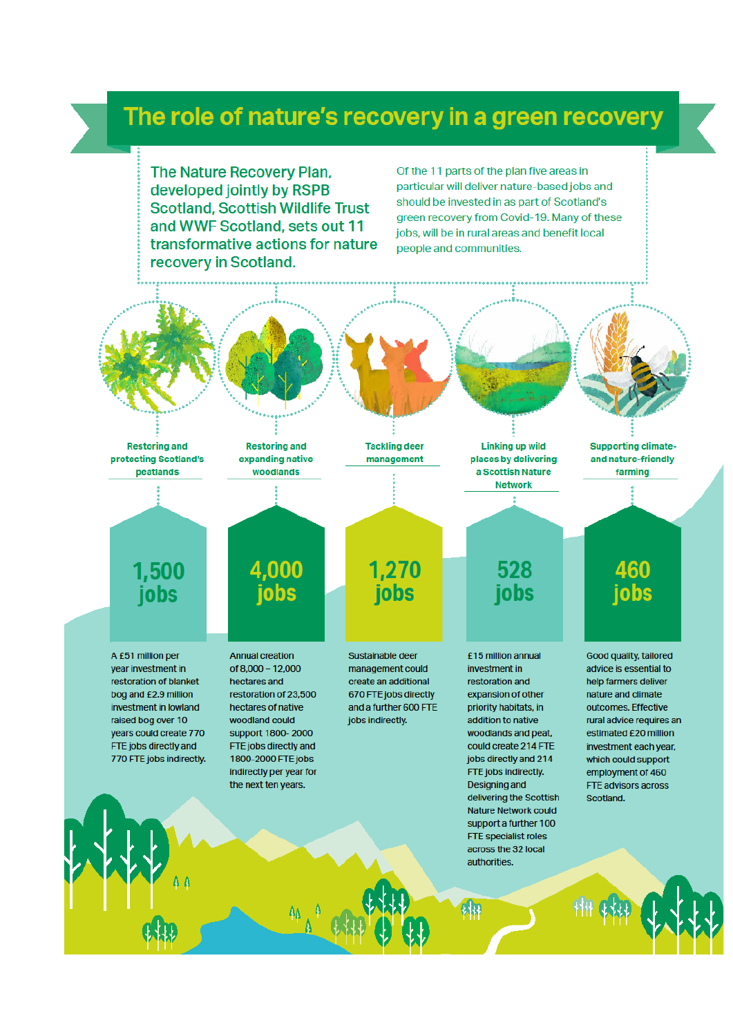# The role of nature's recovery in a green recovery

The Nature Recovery Plan. developed jointly by RSPB **Scotland, Scottish Wildlife Trust** and WWF Scotland, sets out 11 transformative actions for nature recovery in Scotland.

Of the 11 parts of the plan five areas in particular will deliver nature-based jobs and should be invested in as part of Scotland's green recovery from Covid-19. Many of these jobs, will be in rural areas and benefit local people and communities.



**Restoring and** expanding native woodlands

4,000

jobs

**Tackling deer** management

**Linking up wild** places by delivering a Scottish Nature **Network** 

ż

528

jobs

**Supporting climate**and nature-friendly farming

460

jobs

# 1,500 jobs

A £51 million per vear investment in restoration of blanket bog and £2.9 million investment in lowland raised bog over 10 years could create 770 FTE jobs directly and 770 FTE jobs indirectly. **Annual creation** of 8.000 - 12.000 hectares and restoration of 23,500 hectares of native woodland could support 1800-2000 FTE jobs directly and 1800-2000 FTE jobs indirectly per year for the next ten years.

Sustainable deer management could create an additional 670 FTE jobs directly and a further 600 FTE jobs indirectly.

1,270

jobs

investment in

£15 million annual restoration and expansion of other priority habitats, in addition to native woodlands and peat, could create 214 FTE jobs directly and 214 FTE jobs indirectly. Designing and delivering the Scottish **Nature Network could** support a further 100 **FTE specialist roles** across the 32 local authorities.

Good quality, tailored advice is essential to help farmers deliver nature and climate outcomes. Effective rural advice requires an estimated £20 million investment each year, which could support employment of 460 FTE advisors across Scotland.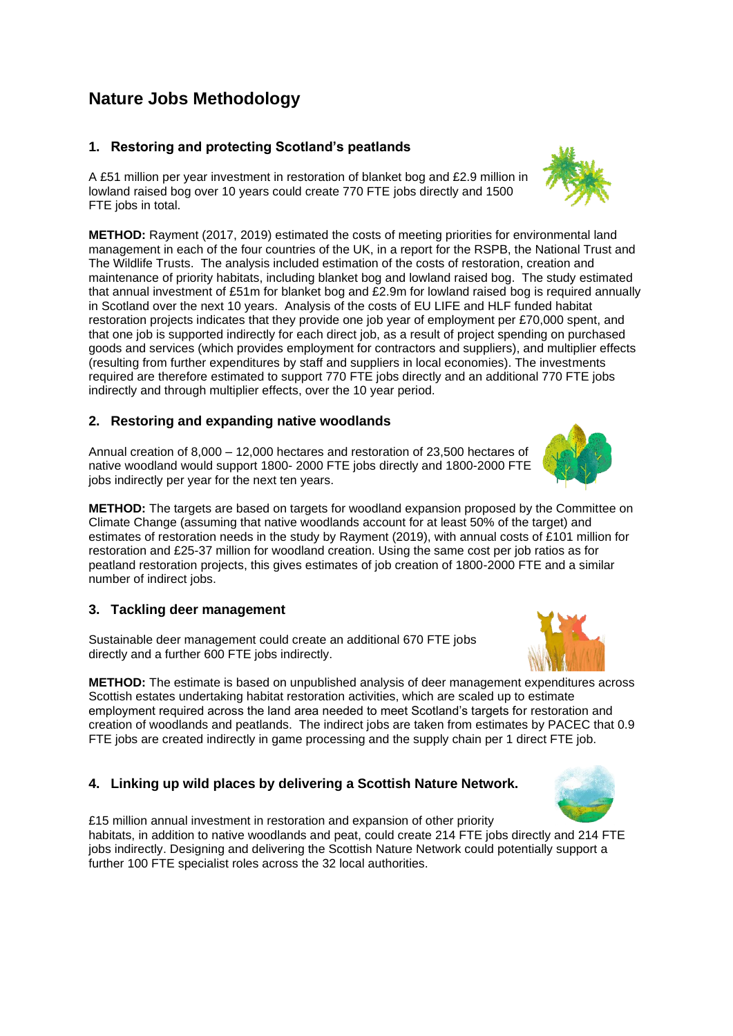### **Nature Jobs Methodology**

#### **1. Restoring and protecting Scotland's peatlands**

A £51 million per year investment in restoration of blanket bog and £2.9 million in lowland raised bog over 10 years could create 770 FTE jobs directly and 1500 FTE jobs in total.

**METHOD:** Rayment (2017, 2019) estimated the costs of meeting priorities for environmental land management in each of the four countries of the UK, in a report for the RSPB, the National Trust and The Wildlife Trusts. The analysis included estimation of the costs of restoration, creation and maintenance of priority habitats, including blanket bog and lowland raised bog. The study estimated that annual investment of £51m for blanket bog and £2.9m for lowland raised bog is required annually in Scotland over the next 10 years. Analysis of the costs of EU LIFE and HLF funded habitat restoration projects indicates that they provide one job year of employment per £70,000 spent, and that one job is supported indirectly for each direct job, as a result of project spending on purchased goods and services (which provides employment for contractors and suppliers), and multiplier effects (resulting from further expenditures by staff and suppliers in local economies). The investments required are therefore estimated to support 770 FTE jobs directly and an additional 770 FTE jobs indirectly and through multiplier effects, over the 10 year period.

#### **2. Restoring and expanding native woodlands**

Annual creation of 8,000 – 12,000 hectares and restoration of 23,500 hectares of native woodland would support 1800- 2000 FTE jobs directly and 1800-2000 FTE jobs indirectly per year for the next ten years.

**METHOD:** The targets are based on targets for woodland expansion proposed by the Committee on Climate Change (assuming that native woodlands account for at least 50% of the target) and estimates of restoration needs in the study by Rayment (2019), with annual costs of £101 million for restoration and £25-37 million for woodland creation. Using the same cost per job ratios as for peatland restoration projects, this gives estimates of job creation of 1800-2000 FTE and a similar number of indirect jobs.

#### **3. Tackling deer management**

Sustainable deer management could create an additional 670 FTE jobs directly and a further 600 FTE jobs indirectly.

**METHOD:** The estimate is based on unpublished analysis of deer management expenditures across Scottish estates undertaking habitat restoration activities, which are scaled up to estimate employment required across the land area needed to meet Scotland's targets for restoration and creation of woodlands and peatlands. The indirect jobs are taken from estimates by PACEC that 0.9 FTE jobs are created indirectly in game processing and the supply chain per 1 direct FTE job.

#### **4. Linking up wild places by delivering a Scottish Nature Network.**

£15 million annual investment in restoration and expansion of other priority habitats, in addition to native woodlands and peat, could create 214 FTE jobs directly and 214 FTE jobs indirectly. Designing and delivering the Scottish Nature Network could potentially support a further 100 FTE specialist roles across the 32 local authorities.